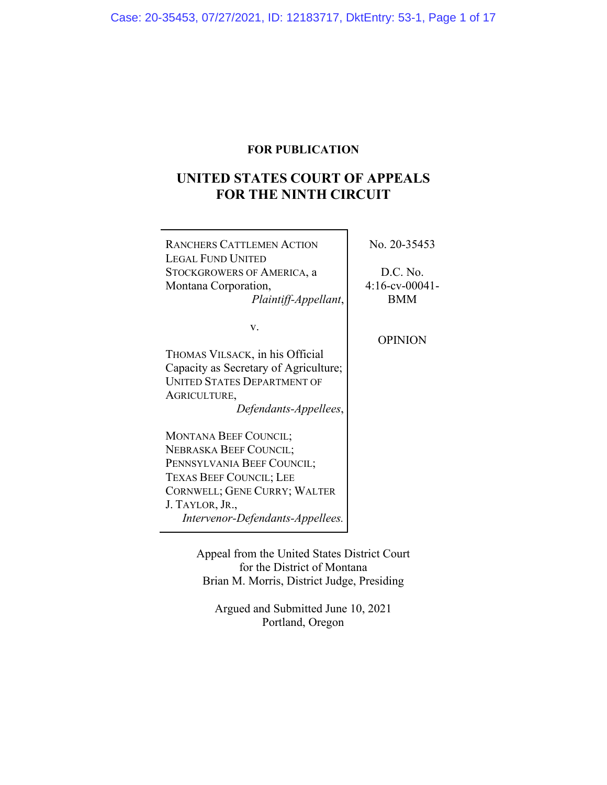## **FOR PUBLICATION**

# **UNITED STATES COURT OF APPEALS FOR THE NINTH CIRCUIT**

| <b>RANCHERS CATTLEMEN ACTION</b><br><b>LEGAL FUND UNITED</b><br>STOCKGROWERS OF AMERICA, a<br>Montana Corporation,<br>Plaintiff-Appellant,                                                                    | No. 20-35453<br>D.C. No.<br>$4:16$ -cv-00041-<br><b>BMM</b> |
|---------------------------------------------------------------------------------------------------------------------------------------------------------------------------------------------------------------|-------------------------------------------------------------|
| v.<br>THOMAS VILSACK, in his Official<br>Capacity as Secretary of Agriculture;<br><b>UNITED STATES DEPARTMENT OF</b><br>AGRICULTURE,<br>Defendants-Appellees,                                                 | <b>OPINION</b>                                              |
| MONTANA BEEF COUNCIL;<br><b>NEBRASKA BEEF COUNCIL;</b><br>PENNSYLVANIA BEEF COUNCIL;<br><b>TEXAS BEEF COUNCIL; LEE</b><br>CORNWELL; GENE CURRY; WALTER<br>J. TAYLOR, JR.,<br>Intervenor-Defendants-Appellees. |                                                             |

Appeal from the United States District Court for the District of Montana Brian M. Morris, District Judge, Presiding

Argued and Submitted June 10, 2021 Portland, Oregon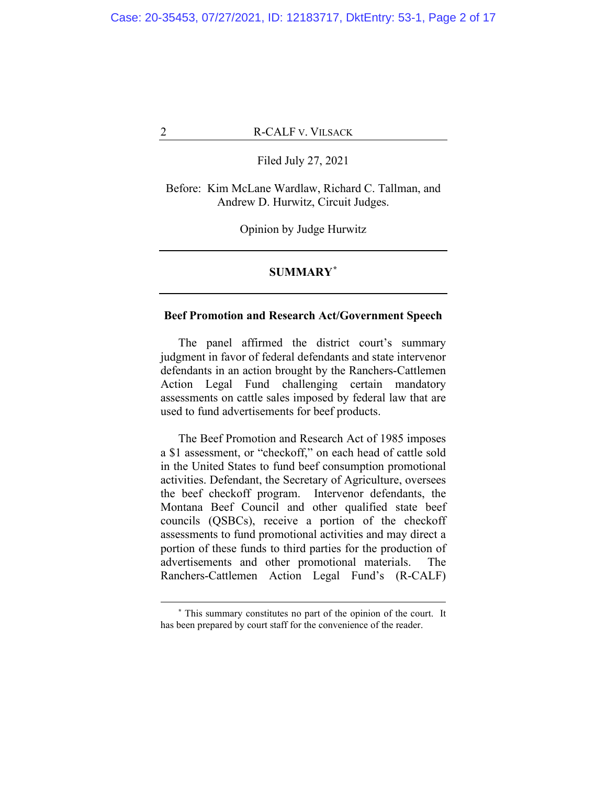Filed July 27, 2021

Before: Kim McLane Wardlaw, Richard C. Tallman, and Andrew D. Hurwitz, Circuit Judges.

Opinion by Judge Hurwitz

## **SUMMARY\***

## **Beef Promotion and Research Act/Government Speech**

The panel affirmed the district court's summary judgment in favor of federal defendants and state intervenor defendants in an action brought by the Ranchers-Cattlemen Action Legal Fund challenging certain mandatory assessments on cattle sales imposed by federal law that are used to fund advertisements for beef products.

The Beef Promotion and Research Act of 1985 imposes a \$1 assessment, or "checkoff," on each head of cattle sold in the United States to fund beef consumption promotional activities. Defendant, the Secretary of Agriculture, oversees the beef checkoff program. Intervenor defendants, the Montana Beef Council and other qualified state beef councils (QSBCs), receive a portion of the checkoff assessments to fund promotional activities and may direct a portion of these funds to third parties for the production of advertisements and other promotional materials. The Ranchers-Cattlemen Action Legal Fund's (R-CALF)

**<sup>\*</sup>** This summary constitutes no part of the opinion of the court. It has been prepared by court staff for the convenience of the reader.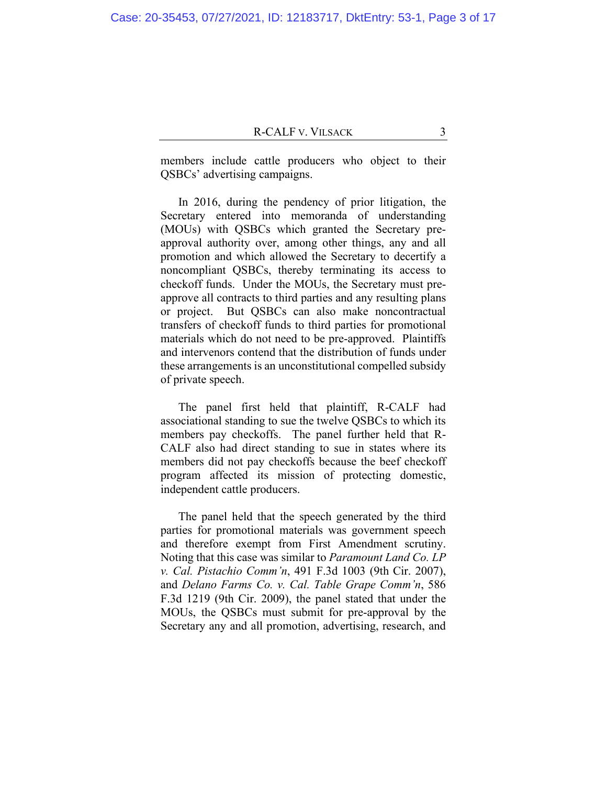members include cattle producers who object to their QSBCs' advertising campaigns.

In 2016, during the pendency of prior litigation, the Secretary entered into memoranda of understanding (MOUs) with QSBCs which granted the Secretary preapproval authority over, among other things, any and all promotion and which allowed the Secretary to decertify a noncompliant QSBCs, thereby terminating its access to checkoff funds. Under the MOUs, the Secretary must preapprove all contracts to third parties and any resulting plans or project. But QSBCs can also make noncontractual transfers of checkoff funds to third parties for promotional materials which do not need to be pre-approved. Plaintiffs and intervenors contend that the distribution of funds under these arrangements is an unconstitutional compelled subsidy of private speech.

The panel first held that plaintiff, R-CALF had associational standing to sue the twelve QSBCs to which its members pay checkoffs. The panel further held that R-CALF also had direct standing to sue in states where its members did not pay checkoffs because the beef checkoff program affected its mission of protecting domestic, independent cattle producers.

The panel held that the speech generated by the third parties for promotional materials was government speech and therefore exempt from First Amendment scrutiny. Noting that this case was similar to *Paramount Land Co. LP v. Cal. Pistachio Comm'n*, 491 F.3d 1003 (9th Cir. 2007), and *Delano Farms Co. v. Cal. Table Grape Comm'n*, 586 F.3d 1219 (9th Cir. 2009), the panel stated that under the MOUs, the QSBCs must submit for pre-approval by the Secretary any and all promotion, advertising, research, and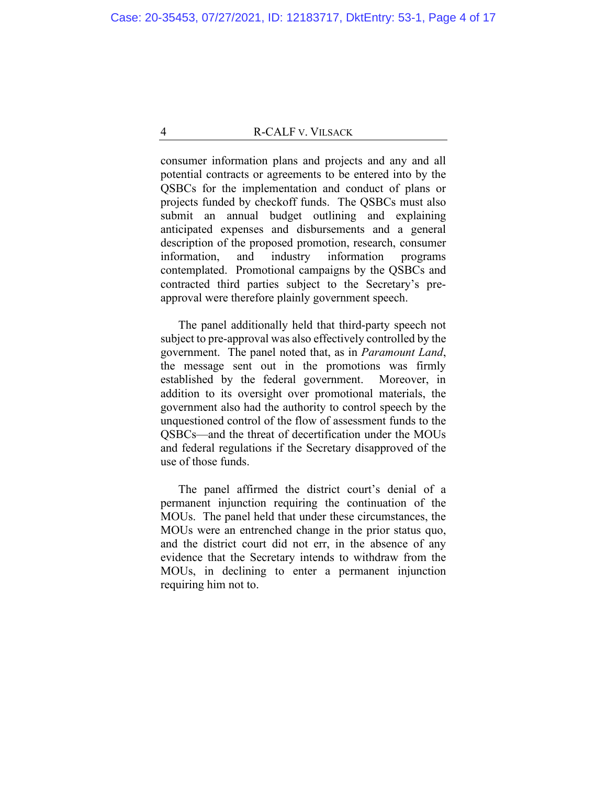consumer information plans and projects and any and all potential contracts or agreements to be entered into by the QSBCs for the implementation and conduct of plans or projects funded by checkoff funds. The QSBCs must also submit an annual budget outlining and explaining anticipated expenses and disbursements and a general description of the proposed promotion, research, consumer information, and industry information programs contemplated. Promotional campaigns by the QSBCs and contracted third parties subject to the Secretary's preapproval were therefore plainly government speech.

The panel additionally held that third-party speech not subject to pre-approval was also effectively controlled by the government. The panel noted that, as in *Paramount Land*, the message sent out in the promotions was firmly established by the federal government. Moreover, in addition to its oversight over promotional materials, the government also had the authority to control speech by the unquestioned control of the flow of assessment funds to the QSBCs—and the threat of decertification under the MOUs and federal regulations if the Secretary disapproved of the use of those funds.

The panel affirmed the district court's denial of a permanent injunction requiring the continuation of the MOUs. The panel held that under these circumstances, the MOUs were an entrenched change in the prior status quo, and the district court did not err, in the absence of any evidence that the Secretary intends to withdraw from the MOUs, in declining to enter a permanent injunction requiring him not to.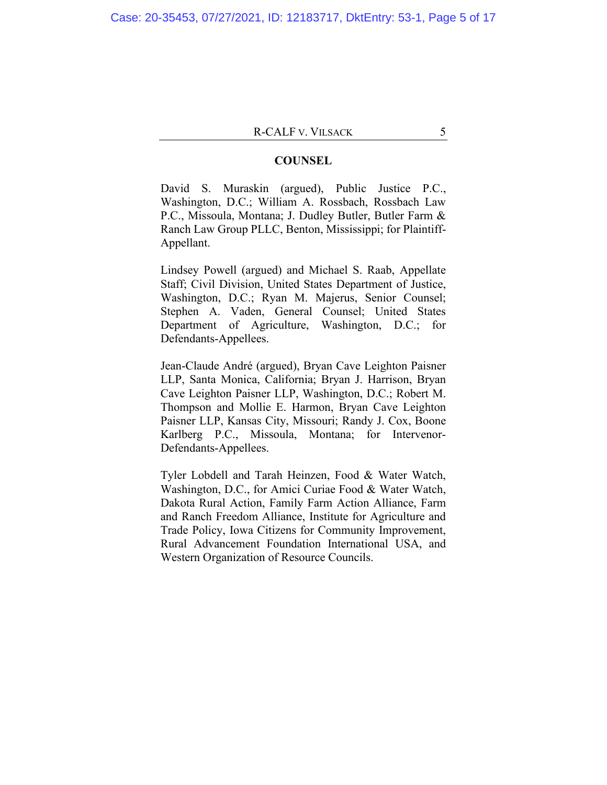#### **COUNSEL**

David S. Muraskin (argued), Public Justice P.C., Washington, D.C.; William A. Rossbach, Rossbach Law P.C., Missoula, Montana; J. Dudley Butler, Butler Farm & Ranch Law Group PLLC, Benton, Mississippi; for Plaintiff-Appellant.

Lindsey Powell (argued) and Michael S. Raab, Appellate Staff; Civil Division, United States Department of Justice, Washington, D.C.; Ryan M. Majerus, Senior Counsel; Stephen A. Vaden, General Counsel; United States Department of Agriculture, Washington, D.C.; for Defendants-Appellees.

Jean-Claude André (argued), Bryan Cave Leighton Paisner LLP, Santa Monica, California; Bryan J. Harrison, Bryan Cave Leighton Paisner LLP, Washington, D.C.; Robert M. Thompson and Mollie E. Harmon, Bryan Cave Leighton Paisner LLP, Kansas City, Missouri; Randy J. Cox, Boone Karlberg P.C., Missoula, Montana; for Intervenor-Defendants-Appellees.

Tyler Lobdell and Tarah Heinzen, Food & Water Watch, Washington, D.C., for Amici Curiae Food & Water Watch, Dakota Rural Action, Family Farm Action Alliance, Farm and Ranch Freedom Alliance, Institute for Agriculture and Trade Policy, Iowa Citizens for Community Improvement, Rural Advancement Foundation International USA, and Western Organization of Resource Councils.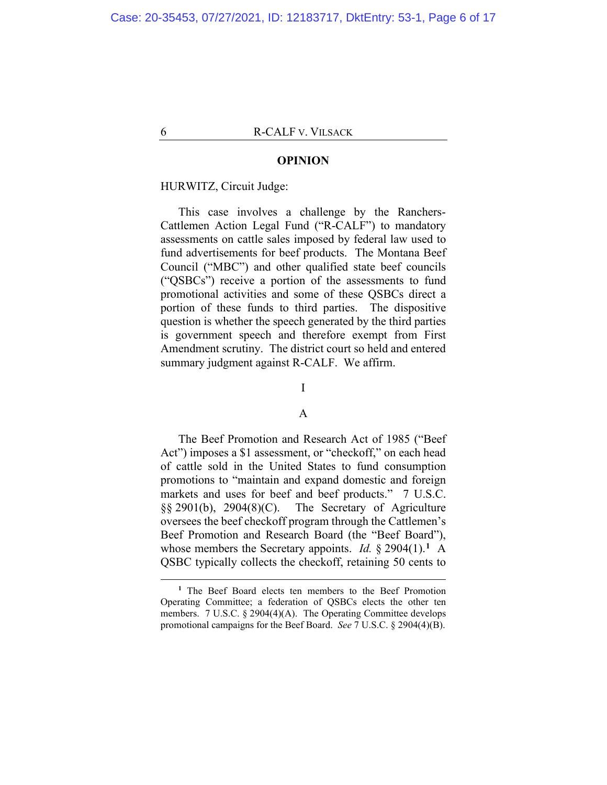#### **OPINION**

## HURWITZ, Circuit Judge:

This case involves a challenge by the Ranchers-Cattlemen Action Legal Fund ("R-CALF") to mandatory assessments on cattle sales imposed by federal law used to fund advertisements for beef products. The Montana Beef Council ("MBC") and other qualified state beef councils ("QSBCs") receive a portion of the assessments to fund promotional activities and some of these QSBCs direct a portion of these funds to third parties. The dispositive question is whether the speech generated by the third parties is government speech and therefore exempt from First Amendment scrutiny. The district court so held and entered summary judgment against R-CALF. We affirm.

## I

## A

The Beef Promotion and Research Act of 1985 ("Beef Act") imposes a \$1 assessment, or "checkoff," on each head of cattle sold in the United States to fund consumption promotions to "maintain and expand domestic and foreign markets and uses for beef and beef products." 7 U.S.C. §§ 2901(b), 2904(8)(C). The Secretary of Agriculture oversees the beef checkoff program through the Cattlemen's Beef Promotion and Research Board (the "Beef Board"), whose members the Secretary appoints. *Id.* § 2904(1).**<sup>1</sup>** A QSBC typically collects the checkoff, retaining 50 cents to

**<sup>1</sup>** The Beef Board elects ten members to the Beef Promotion Operating Committee; a federation of QSBCs elects the other ten members. 7 U.S.C. § 2904(4)(A). The Operating Committee develops promotional campaigns for the Beef Board. *See* 7 U.S.C. § 2904(4)(B).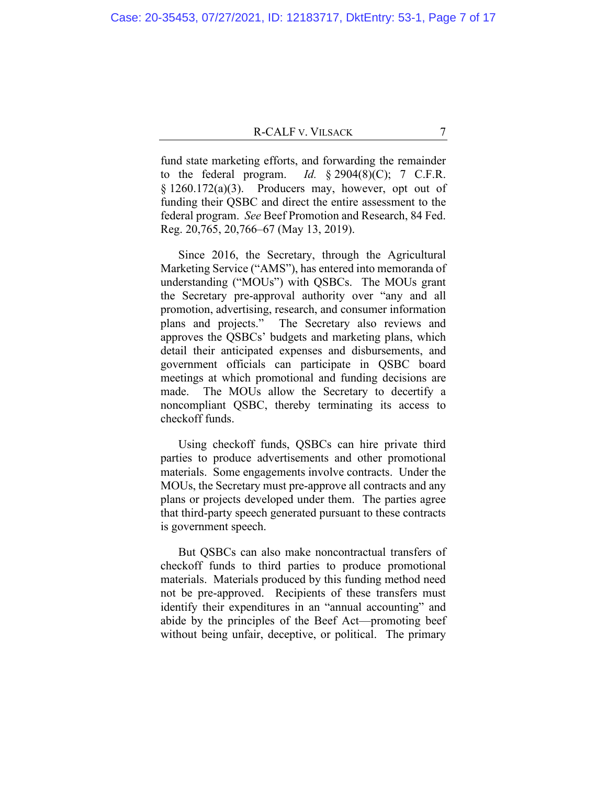fund state marketing efforts, and forwarding the remainder to the federal program. *Id.*  $\S 2904(8)(C)$ ; 7 C.F.R.  $§ 1260.172(a)(3)$ . Producers may, however, opt out of funding their QSBC and direct the entire assessment to the federal program. *See* Beef Promotion and Research, 84 Fed. Reg. 20,765, 20,766–67 (May 13, 2019).

Since 2016, the Secretary, through the Agricultural Marketing Service ("AMS"), has entered into memoranda of understanding ("MOUs") with QSBCs. The MOUs grant the Secretary pre-approval authority over "any and all promotion, advertising, research, and consumer information plans and projects." The Secretary also reviews and approves the QSBCs' budgets and marketing plans, which detail their anticipated expenses and disbursements, and government officials can participate in QSBC board meetings at which promotional and funding decisions are made. The MOUs allow the Secretary to decertify a noncompliant QSBC, thereby terminating its access to checkoff funds.

Using checkoff funds, QSBCs can hire private third parties to produce advertisements and other promotional materials. Some engagements involve contracts. Under the MOUs, the Secretary must pre-approve all contracts and any plans or projects developed under them. The parties agree that third-party speech generated pursuant to these contracts is government speech.

But QSBCs can also make noncontractual transfers of checkoff funds to third parties to produce promotional materials. Materials produced by this funding method need not be pre-approved. Recipients of these transfers must identify their expenditures in an "annual accounting" and abide by the principles of the Beef Act—promoting beef without being unfair, deceptive, or political. The primary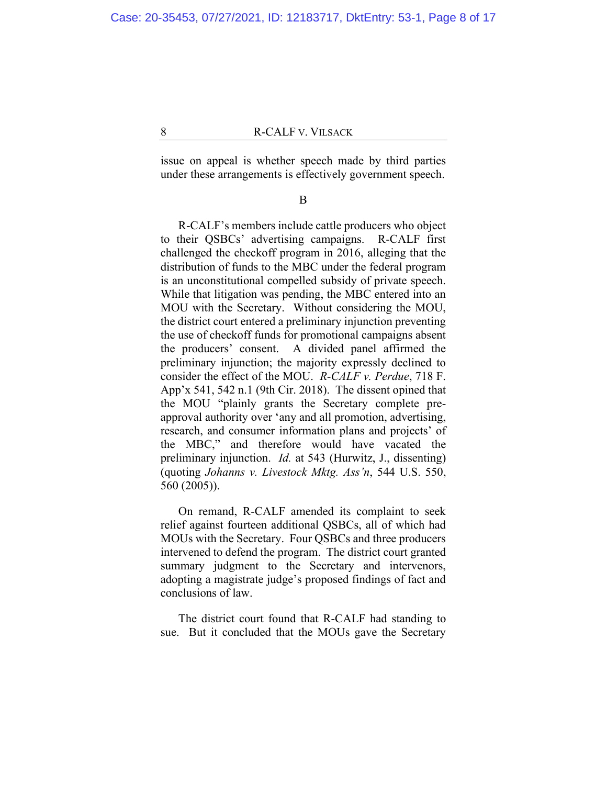issue on appeal is whether speech made by third parties under these arrangements is effectively government speech.

#### B

R-CALF's members include cattle producers who object to their QSBCs' advertising campaigns. R-CALF first challenged the checkoff program in 2016, alleging that the distribution of funds to the MBC under the federal program is an unconstitutional compelled subsidy of private speech. While that litigation was pending, the MBC entered into an MOU with the Secretary. Without considering the MOU, the district court entered a preliminary injunction preventing the use of checkoff funds for promotional campaigns absent the producers' consent. A divided panel affirmed the preliminary injunction; the majority expressly declined to consider the effect of the MOU. *R-CALF v. Perdue*, 718 F. App'x 541, 542 n.1 (9th Cir. 2018). The dissent opined that the MOU "plainly grants the Secretary complete preapproval authority over 'any and all promotion, advertising, research, and consumer information plans and projects' of the MBC," and therefore would have vacated the preliminary injunction. *Id.* at 543 (Hurwitz, J., dissenting) (quoting *Johanns v. Livestock Mktg. Ass'n*, 544 U.S. 550, 560 (2005)).

On remand, R-CALF amended its complaint to seek relief against fourteen additional QSBCs, all of which had MOUs with the Secretary. Four QSBCs and three producers intervened to defend the program. The district court granted summary judgment to the Secretary and intervenors, adopting a magistrate judge's proposed findings of fact and conclusions of law.

The district court found that R-CALF had standing to sue. But it concluded that the MOUs gave the Secretary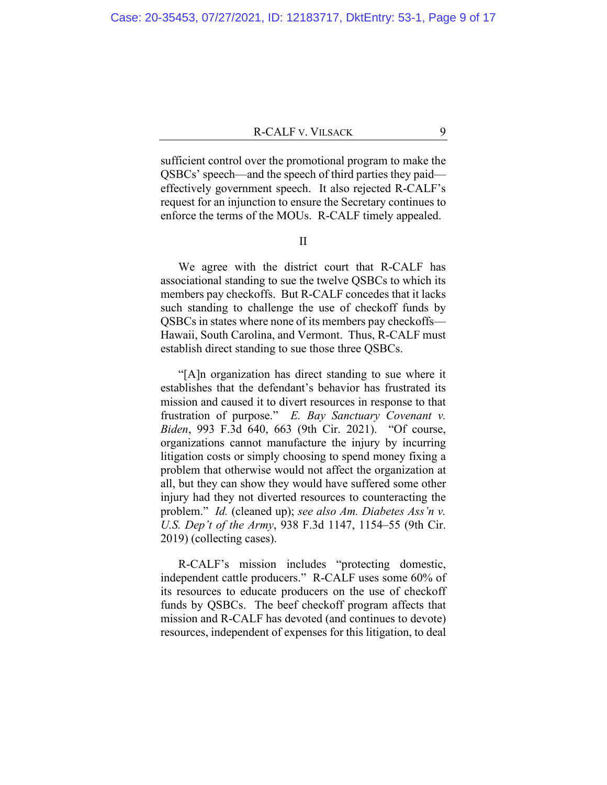sufficient control over the promotional program to make the QSBCs' speech—and the speech of third parties they paid effectively government speech. It also rejected R-CALF's request for an injunction to ensure the Secretary continues to enforce the terms of the MOUs. R-CALF timely appealed.

II

We agree with the district court that R-CALF has associational standing to sue the twelve QSBCs to which its members pay checkoffs. But R-CALF concedes that it lacks such standing to challenge the use of checkoff funds by QSBCs in states where none of its members pay checkoffs— Hawaii, South Carolina, and Vermont. Thus, R-CALF must establish direct standing to sue those three QSBCs.

"[A]n organization has direct standing to sue where it establishes that the defendant's behavior has frustrated its mission and caused it to divert resources in response to that frustration of purpose." *E. Bay Sanctuary Covenant v. Biden*, 993 F.3d 640, 663 (9th Cir. 2021). "Of course, organizations cannot manufacture the injury by incurring litigation costs or simply choosing to spend money fixing a problem that otherwise would not affect the organization at all, but they can show they would have suffered some other injury had they not diverted resources to counteracting the problem." *Id.* (cleaned up); *see also Am. Diabetes Ass'n v. U.S. Dep't of the Army*, 938 F.3d 1147, 1154–55 (9th Cir. 2019) (collecting cases).

R-CALF's mission includes "protecting domestic, independent cattle producers." R-CALF uses some 60% of its resources to educate producers on the use of checkoff funds by QSBCs. The beef checkoff program affects that mission and R-CALF has devoted (and continues to devote) resources, independent of expenses for this litigation, to deal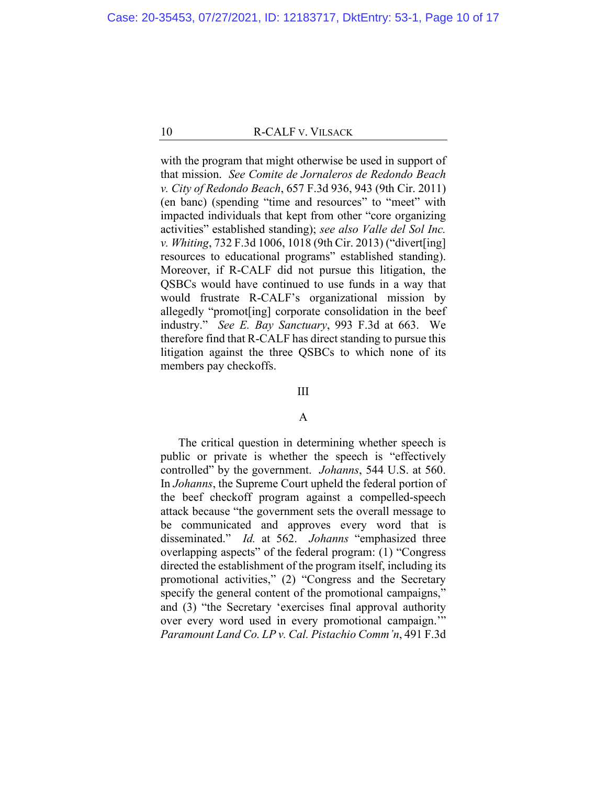with the program that might otherwise be used in support of that mission. *See Comite de Jornaleros de Redondo Beach v. City of Redondo Beach*, 657 F.3d 936, 943 (9th Cir. 2011) (en banc) (spending "time and resources" to "meet" with impacted individuals that kept from other "core organizing activities" established standing); *see also Valle del Sol Inc. v. Whiting*, 732 F.3d 1006, 1018 (9th Cir. 2013) ("divert[ing] resources to educational programs" established standing). Moreover, if R-CALF did not pursue this litigation, the QSBCs would have continued to use funds in a way that would frustrate R-CALF's organizational mission by allegedly "promot[ing] corporate consolidation in the beef industry." *See E. Bay Sanctuary*, 993 F.3d at 663. We therefore find that R-CALF has direct standing to pursue this litigation against the three QSBCs to which none of its members pay checkoffs.

#### III

## A

The critical question in determining whether speech is public or private is whether the speech is "effectively controlled" by the government. *Johanns*, 544 U.S. at 560. In *Johanns*, the Supreme Court upheld the federal portion of the beef checkoff program against a compelled-speech attack because "the government sets the overall message to be communicated and approves every word that is disseminated." *Id.* at 562. *Johanns* "emphasized three overlapping aspects" of the federal program: (1) "Congress directed the establishment of the program itself, including its promotional activities," (2) "Congress and the Secretary specify the general content of the promotional campaigns," and (3) "the Secretary 'exercises final approval authority over every word used in every promotional campaign.'" *Paramount Land Co. LP v. Cal. Pistachio Comm'n*, 491 F.3d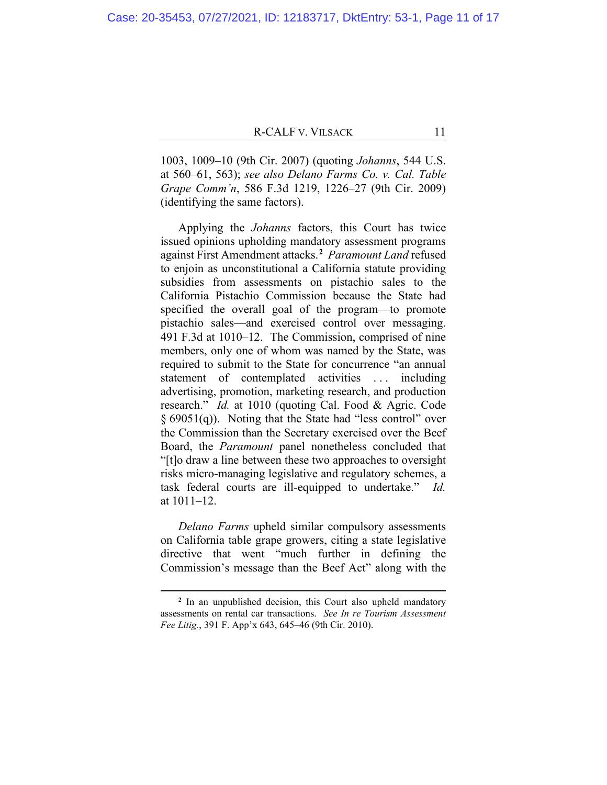1003, 1009–10 (9th Cir. 2007) (quoting *Johanns*, 544 U.S. at 560–61, 563); *see also Delano Farms Co. v. Cal. Table Grape Comm'n*, 586 F.3d 1219, 1226–27 (9th Cir. 2009) (identifying the same factors).

Applying the *Johanns* factors, this Court has twice issued opinions upholding mandatory assessment programs against First Amendment attacks.**<sup>2</sup>** *Paramount Land* refused to enjoin as unconstitutional a California statute providing subsidies from assessments on pistachio sales to the California Pistachio Commission because the State had specified the overall goal of the program—to promote pistachio sales—and exercised control over messaging. 491 F.3d at 1010–12. The Commission, comprised of nine members, only one of whom was named by the State, was required to submit to the State for concurrence "an annual statement of contemplated activities ... including advertising, promotion, marketing research, and production research." *Id.* at 1010 (quoting Cal. Food & Agric. Code § 69051(q)). Noting that the State had "less control" over the Commission than the Secretary exercised over the Beef Board, the *Paramount* panel nonetheless concluded that "[t]o draw a line between these two approaches to oversight risks micro-managing legislative and regulatory schemes, a task federal courts are ill-equipped to undertake." *Id.*  at 1011–12.

*Delano Farms* upheld similar compulsory assessments on California table grape growers, citing a state legislative directive that went "much further in defining the Commission's message than the Beef Act" along with the

**<sup>2</sup>** In an unpublished decision, this Court also upheld mandatory assessments on rental car transactions. *See In re Tourism Assessment Fee Litig.*, 391 F. App'x 643, 645–46 (9th Cir. 2010).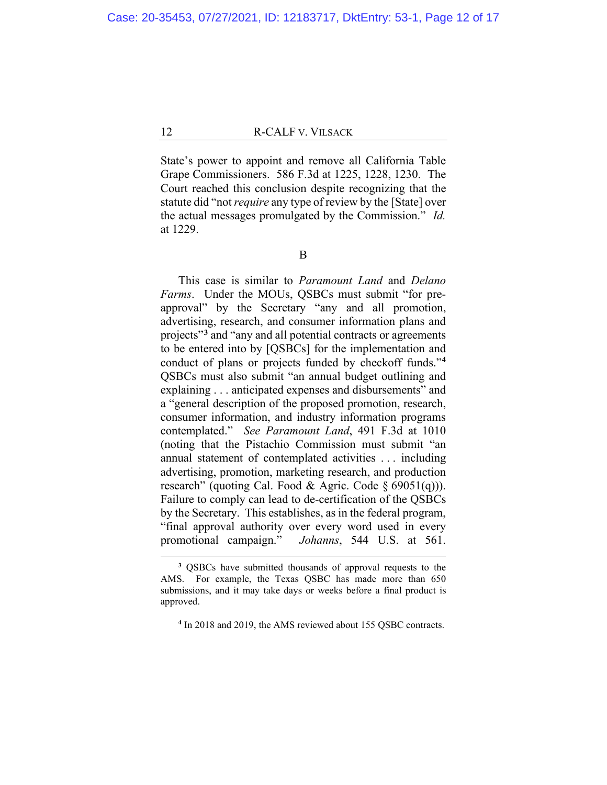State's power to appoint and remove all California Table Grape Commissioners. 586 F.3d at 1225, 1228, 1230. The Court reached this conclusion despite recognizing that the statute did "not *require* any type of review by the [State] over the actual messages promulgated by the Commission." *Id.* at 1229.

This case is similar to *Paramount Land* and *Delano Farms*. Under the MOUs, QSBCs must submit "for preapproval" by the Secretary "any and all promotion, advertising, research, and consumer information plans and projects"**<sup>3</sup>** and "any and all potential contracts or agreements to be entered into by [QSBCs] for the implementation and conduct of plans or projects funded by checkoff funds."**<sup>4</sup>** QSBCs must also submit "an annual budget outlining and explaining . . . anticipated expenses and disbursements" and a "general description of the proposed promotion, research, consumer information, and industry information programs contemplated." *See Paramount Land*, 491 F.3d at 1010 (noting that the Pistachio Commission must submit "an annual statement of contemplated activities . . . including advertising, promotion, marketing research, and production research" (quoting Cal. Food & Agric. Code  $\S$  69051(q))). Failure to comply can lead to de-certification of the QSBCs by the Secretary. This establishes, as in the federal program, "final approval authority over every word used in every promotional campaign." *Johanns*, 544 U.S. at 561.

**<sup>3</sup>** QSBCs have submitted thousands of approval requests to the AMS. For example, the Texas QSBC has made more than 650 submissions, and it may take days or weeks before a final product is approved.

**<sup>4</sup>** In 2018 and 2019, the AMS reviewed about 155 QSBC contracts.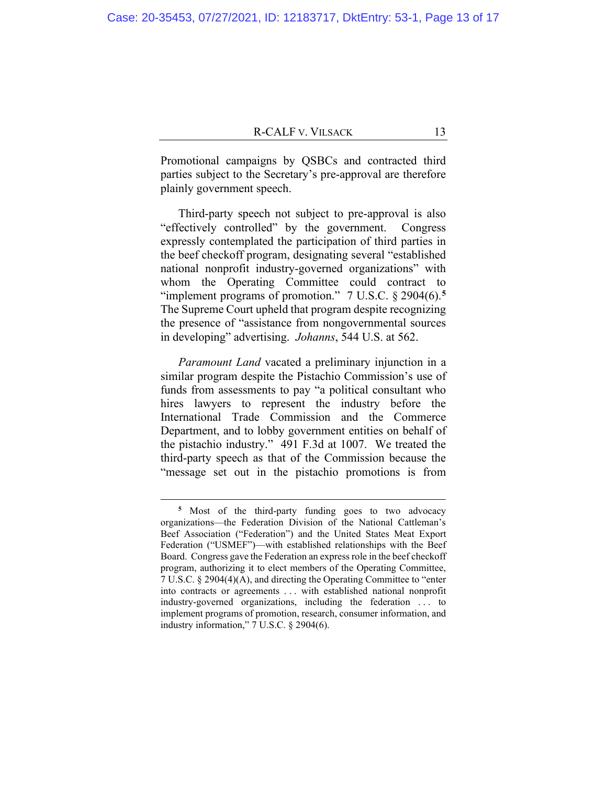Promotional campaigns by QSBCs and contracted third parties subject to the Secretary's pre-approval are therefore plainly government speech.

Third-party speech not subject to pre-approval is also "effectively controlled" by the government. Congress expressly contemplated the participation of third parties in the beef checkoff program, designating several "established national nonprofit industry-governed organizations" with whom the Operating Committee could contract to "implement programs of promotion." 7 U.S.C. § 2904(6).<sup>5</sup> The Supreme Court upheld that program despite recognizing the presence of "assistance from nongovernmental sources in developing" advertising. *Johanns*, 544 U.S. at 562.

*Paramount Land* vacated a preliminary injunction in a similar program despite the Pistachio Commission's use of funds from assessments to pay "a political consultant who hires lawyers to represent the industry before the International Trade Commission and the Commerce Department, and to lobby government entities on behalf of the pistachio industry." 491 F.3d at 1007. We treated the third-party speech as that of the Commission because the "message set out in the pistachio promotions is from

**<sup>5</sup>** Most of the third-party funding goes to two advocacy organizations—the Federation Division of the National Cattleman's Beef Association ("Federation") and the United States Meat Export Federation ("USMEF")—with established relationships with the Beef Board. Congress gave the Federation an express role in the beef checkoff program, authorizing it to elect members of the Operating Committee, 7 U.S.C. § 2904(4)(A), and directing the Operating Committee to "enter into contracts or agreements . . . with established national nonprofit industry-governed organizations, including the federation . . . to implement programs of promotion, research, consumer information, and industry information," 7 U.S.C. § 2904(6).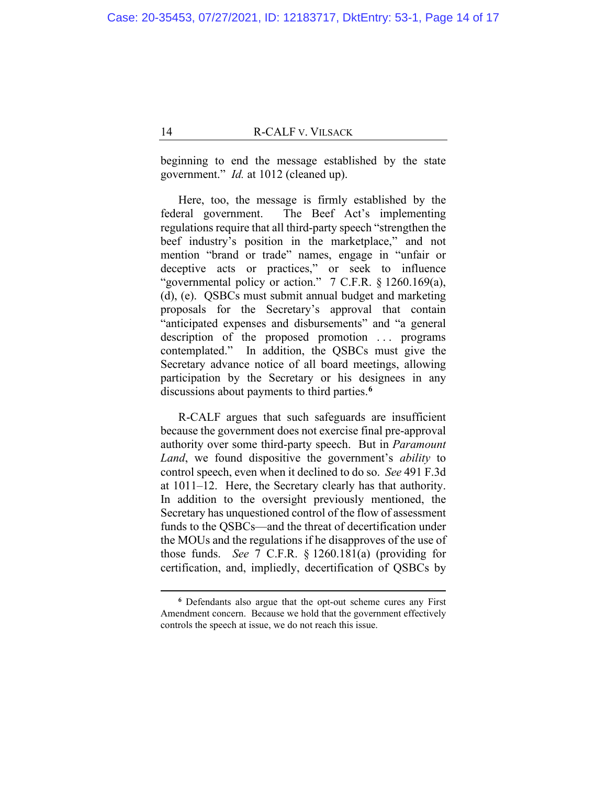beginning to end the message established by the state government." *Id.* at 1012 (cleaned up).

Here, too, the message is firmly established by the federal government. The Beef Act's implementing regulations require that all third-party speech "strengthen the beef industry's position in the marketplace," and not mention "brand or trade" names, engage in "unfair or deceptive acts or practices," or seek to influence "governmental policy or action." 7 C.F.R. § 1260.169(a), (d), (e). QSBCs must submit annual budget and marketing proposals for the Secretary's approval that contain "anticipated expenses and disbursements" and "a general description of the proposed promotion ... programs contemplated." In addition, the QSBCs must give the Secretary advance notice of all board meetings, allowing participation by the Secretary or his designees in any discussions about payments to third parties.**<sup>6</sup>**

R-CALF argues that such safeguards are insufficient because the government does not exercise final pre-approval authority over some third-party speech. But in *Paramount Land*, we found dispositive the government's *ability* to control speech, even when it declined to do so. *See* 491 F.3d at 1011–12. Here, the Secretary clearly has that authority. In addition to the oversight previously mentioned, the Secretary has unquestioned control of the flow of assessment funds to the QSBCs—and the threat of decertification under the MOUs and the regulations if he disapproves of the use of those funds. *See* 7 C.F.R. § 1260.181(a) (providing for certification, and, impliedly, decertification of QSBCs by

**<sup>6</sup>** Defendants also argue that the opt-out scheme cures any First Amendment concern. Because we hold that the government effectively controls the speech at issue, we do not reach this issue.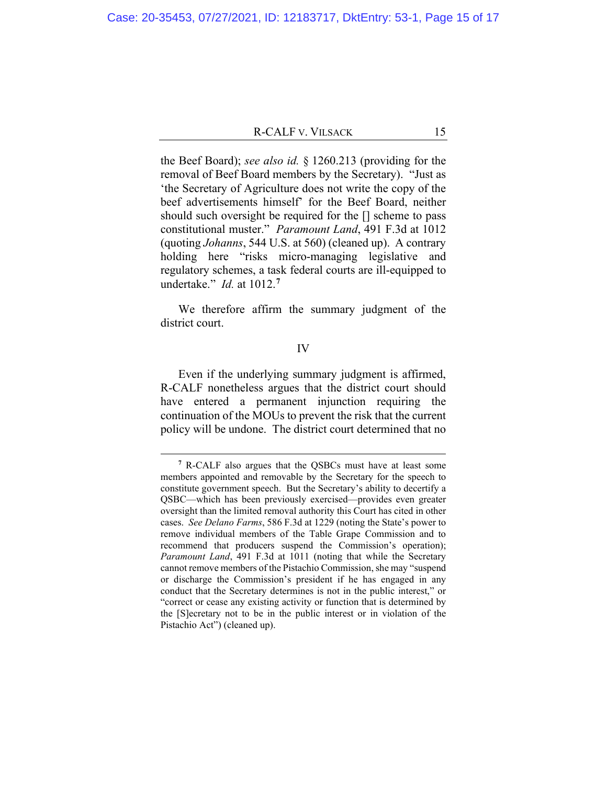the Beef Board); *see also id.* § 1260.213 (providing for the removal of Beef Board members by the Secretary). "Just as 'the Secretary of Agriculture does not write the copy of the beef advertisements himself' for the Beef Board, neither should such oversight be required for the [] scheme to pass constitutional muster." *Paramount Land*, 491 F.3d at 1012 (quoting *Johanns*, 544 U.S. at 560) (cleaned up). A contrary holding here "risks micro-managing legislative and regulatory schemes, a task federal courts are ill-equipped to undertake." *Id.* at 1012.**<sup>7</sup>**

We therefore affirm the summary judgment of the district court.

#### IV

Even if the underlying summary judgment is affirmed, R-CALF nonetheless argues that the district court should have entered a permanent injunction requiring the continuation of the MOUs to prevent the risk that the current policy will be undone. The district court determined that no

**<sup>7</sup>** R-CALF also argues that the QSBCs must have at least some members appointed and removable by the Secretary for the speech to constitute government speech. But the Secretary's ability to decertify a QSBC—which has been previously exercised—provides even greater oversight than the limited removal authority this Court has cited in other cases. *See Delano Farms*, 586 F.3d at 1229 (noting the State's power to remove individual members of the Table Grape Commission and to recommend that producers suspend the Commission's operation); *Paramount Land*, 491 F.3d at 1011 (noting that while the Secretary cannot remove members of the Pistachio Commission, she may "suspend or discharge the Commission's president if he has engaged in any conduct that the Secretary determines is not in the public interest," or "correct or cease any existing activity or function that is determined by the [S]ecretary not to be in the public interest or in violation of the Pistachio Act") (cleaned up).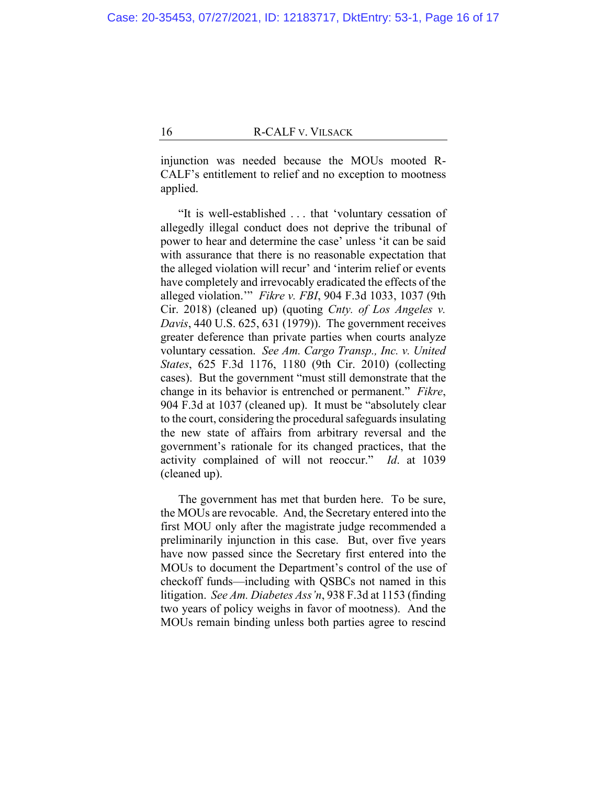injunction was needed because the MOUs mooted R-CALF's entitlement to relief and no exception to mootness applied.

"It is well-established . . . that 'voluntary cessation of allegedly illegal conduct does not deprive the tribunal of power to hear and determine the case' unless 'it can be said with assurance that there is no reasonable expectation that the alleged violation will recur' and 'interim relief or events have completely and irrevocably eradicated the effects of the alleged violation.'" *Fikre v. FBI*, 904 F.3d 1033, 1037 (9th Cir. 2018) (cleaned up) (quoting *Cnty. of Los Angeles v. Davis*, 440 U.S. 625, 631 (1979)). The government receives greater deference than private parties when courts analyze voluntary cessation. *See Am. Cargo Transp., Inc. v. United States*, 625 F.3d 1176, 1180 (9th Cir. 2010) (collecting cases). But the government "must still demonstrate that the change in its behavior is entrenched or permanent." *Fikre*, 904 F.3d at 1037 (cleaned up). It must be "absolutely clear to the court, considering the procedural safeguards insulating the new state of affairs from arbitrary reversal and the government's rationale for its changed practices, that the activity complained of will not reoccur." *Id*. at 1039 (cleaned up).

The government has met that burden here. To be sure, the MOUs are revocable. And, the Secretary entered into the first MOU only after the magistrate judge recommended a preliminarily injunction in this case. But, over five years have now passed since the Secretary first entered into the MOUs to document the Department's control of the use of checkoff funds—including with QSBCs not named in this litigation. *See Am. Diabetes Ass'n*, 938 F.3d at 1153 (finding two years of policy weighs in favor of mootness). And the MOUs remain binding unless both parties agree to rescind